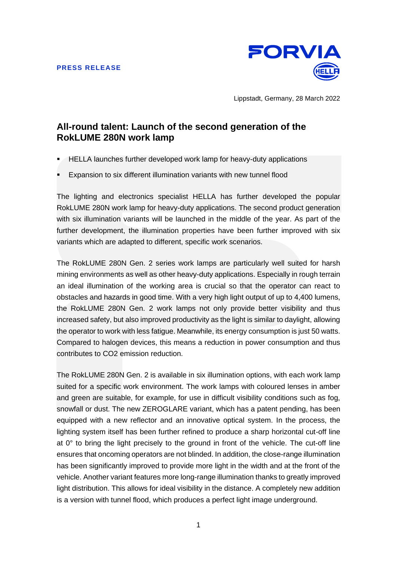

Lippstadt, Germany, 28 March 2022

## **All-round talent: Launch of the second generation of the RokLUME 280N work lamp**

- HELLA launches further developed work lamp for heavy-duty applications
- Expansion to six different illumination variants with new tunnel flood

The lighting and electronics specialist HELLA has further developed the popular RokLUME 280N work lamp for heavy-duty applications. The second product generation with six illumination variants will be launched in the middle of the year. As part of the further development, the illumination properties have been further improved with six variants which are adapted to different, specific work scenarios.

The RokLUME 280N Gen. 2 series work lamps are particularly well suited for harsh mining environments as well as other heavy-duty applications. Especially in rough terrain an ideal illumination of the working area is crucial so that the operator can react to obstacles and hazards in good time. With a very high light output of up to 4,400 lumens, the RokLUME 280N Gen. 2 work lamps not only provide better visibility and thus increased safety, but also improved productivity as the light is similar to daylight, allowing the operator to work with less fatigue. Meanwhile, its energy consumption is just 50 watts. Compared to halogen devices, this means a reduction in power consumption and thus contributes to CO2 emission reduction.

The RokLUME 280N Gen. 2 is available in six illumination options, with each work lamp suited for a specific work environment. The work lamps with coloured lenses in amber and green are suitable, for example, for use in difficult visibility conditions such as fog, snowfall or dust. The new ZEROGLARE variant, which has a patent pending, has been equipped with a new reflector and an innovative optical system. In the process, the lighting system itself has been further refined to produce a sharp horizontal cut-off line at 0° to bring the light precisely to the ground in front of the vehicle. The cut-off line ensures that oncoming operators are not blinded. In addition, the close-range illumination has been significantly improved to provide more light in the width and at the front of the vehicle. Another variant features more long-range illumination thanks to greatly improved light distribution. This allows for ideal visibility in the distance. A completely new addition is a version with tunnel flood, which produces a perfect light image underground.